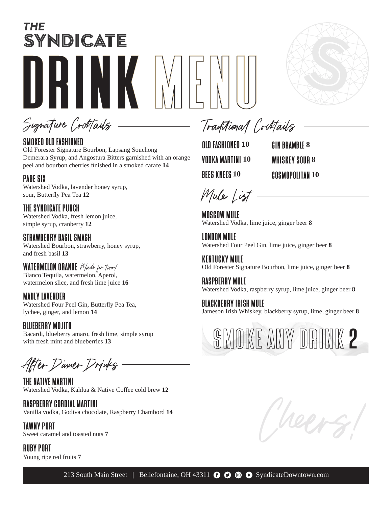# THE SYNDICATE DRINK MENU



Signature Cocktails

## SMOKED OLD FASHIONED

Old Forester Signature Bourbon, Lapsang Souchong Demerara Syrup, and Angostura Bitters garnished with an orange peel and bourbon cherries finished in a smoked carafe **14**

## PAGE SIX

Watershed Vodka, lavender honey syrup, sour, Butterfly Pea Tea **12**

THE SYNDICATE PUNCH Watershed Vodka, fresh lemon juice, simple syrup, cranberry **12**

STRAWBERRY BASIL SMASH Watershed Bourbon, strawberry, honey syrup, and fresh basil **13**

WATERMELON GRANDE *Made for two/* Blanco Tequila, watermelon, Aperol, watermelon slice, and fresh lime juice **16**

### MADLY LAVENDER

Watershed Four Peel Gin, Butterfly Pea Tea, lychee, ginger, and lemon **14**

## BLUEBERRY MOJITO

Bacardi, blueberry amaro, fresh lime, simple syrup with fresh mint and blueberries **13**

After Dinner Drinks

THE NATIVE MARTINI Watershed Vodka, Kahlua & Native Coffee cold brew **12**

RASPBERRY CORDIAL MARTINI Vanilla vodka, Godiva chocolate, Raspberry Chambord **14**

TAWNY PORT Sweet caramel and toasted nuts **7**

RUBY PORT Young ripe red fruits **7**

Traditional Cocktails

OLD FASHIONED **10**  VODKA MARTINI **10** BEES KNEES **10**

GIN BRAMBLE **8** WHISKEY SOUR **8** COSMOPOLITAN **10**

Mule List -

MOSCOW MULE Watershed Vodka, lime juice, ginger beer **8**

LONDON MULE Watershed Four Peel Gin, lime juice, ginger beer **8**

KENTUCKY MULE Old Forester Signature Bourbon, lime juice, ginger beer **8**

RASPBERRY MULE Watershed Vodka, raspberry syrup, lime juice, ginger beer **8**

BLACKBERRY IRISH MULE Jameson Irish Whiskey, blackberry syrup, lime, ginger beer **8**

SMOKE ANY DRINK 2

Cheers!